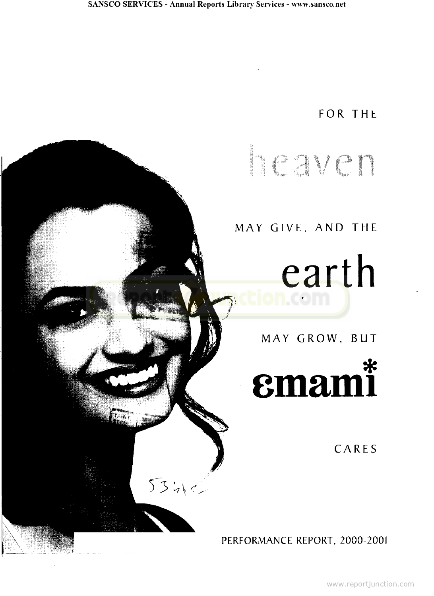$\tau_{\alpha\mathbf{k}}$ 

 $5340$ 

## FOR THE

# ERIC NILA

## MAY GIVE, AND THE

earth CO TI

MAY GROW, BUT

# emami\*

CARES

PERFORMANCE REPORT, 2000-2001

www.reportjunction.com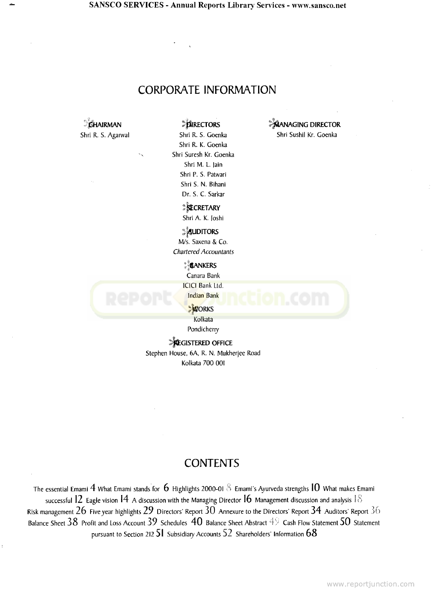**SANSCO SERVICES - Annual Reports Library Services - www.sansco.net**

#### CORPORATE INFORMATION

*CHAIRMAN CHAIRMAN* **DIRECTORS DIRECTORS** 

Shri R. S. Agarwal Shri R. S. Goenka Shri Sushil Kr. Goenka Shri R. K. Goenka Shri Suresh Kr. Goenka Shri M. L. )ain Shri P. S. Patwari Shri S. N. Bihani Dr. S. C. Sarkar

> *SECRETARY* Shri A. K. Joshi

**AUDITORS** M/s. Saxena & Co. Chartered Accountants

**BANKERS** 

Canara Bank

**ICICI Bank Ltd.** 

**Indian Bank** 

**DORKS** Kolkata

Pondicherry

**Execustered OFFICE** Stephen House, 6A, R. N. Mukherjee Road Kolkata 700 001

#### **CONTENTS**

The essential Emami 4 What Emami stands for 6 Highlights 2000-01 5 Emami's Ayurveda strengths **10** What makes Emami successful 12 Eagle vision 14 A discussion with the Managing Director 16 Management discussion and analysis 18 Risk management  $26$  Five year highlights  $29$  Directors' Report  $30$  Annexure to the Directors' Report  $34$  Auditors' Report  $36$ Balance Sheet  $38$  Profit and Loss Account  $39$  Schedules  $\,40$  Balance Sheet Abstract  $4\%$  Cash Flow Statement  $50$  Statement pursuant to Section 212 **51** Subsidiary Accounts 52 Shareholders' Information **60**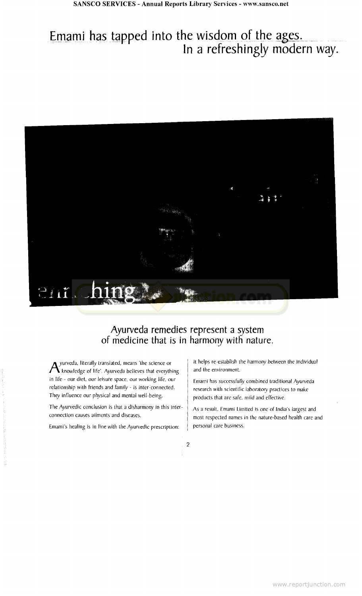## Emami has tapped into the wisdom of the ages. In a refreshingly modern way.



### Ayurveda remedies represent a system of medicine that is in harmony with nature.

 $A$ yurveda, literally translated, means 'the science or<br>A knowledge of life'. Ayurveda believes that everything in life - our diet, our leisure space, our working life, our relationship with friends and family - is inter-connected. They influence our physical and mental well-being.

The Ayurvedic conclusion is that a disharmony in this interconnection causes ailments and diseases.

Emami's healing is in line with the Ayurvedic prescription:

it helps re-establish the harmony between the individual and the environment.

Emami has successfully combined traditional Ayurveda research with scientific laboratory practices to make products that are safe, mild and effective.

As a result, Emami Limited is one of India's largest and most respected names in the nature-based health care and personal care business.

 $\overline{c}$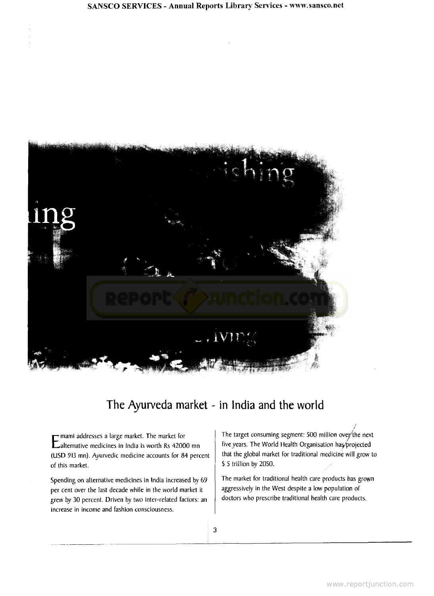

## The Ayurveda market - in India and the world

E mann addresses a large market. The market for<br>Ealternative medicines in India is worth Rs 42000 mn mami addresses a large market. The market for (USD 913 mn). Ayurvedic medicine accounts for 84 percent of this market.

Spending on alternative medicines in India increased by 69 per cent over the last decade while in the world market it grew by 30 percent. Driven by two inter-related factors: an increase in income and fashion consciousness.

The target consuming segment: 500 million over'the next five years. The World Health Organisation has/projected that the global market for traditional medicine will grow to \$ 5 trillion by 2050.

The market for traditional health care products has grown aggressively in the West despite a low population of doctors who prescribe traditional health care products.

3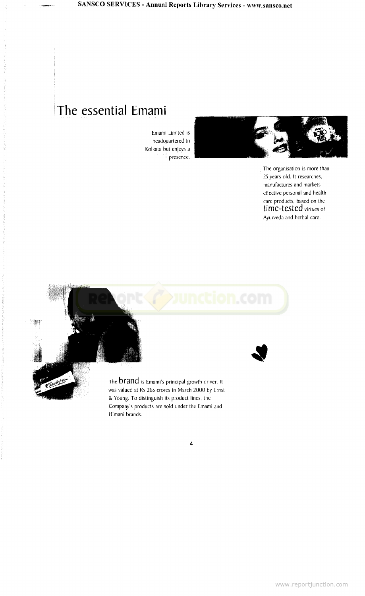## The essential Emami

Emami Limited is headquartered in Kolkata but enjoys a : presence.



The organisation is more than 25 years old. It researches, manufactures and markets effective personal and health care products, based on the time-tested virtues of Ayurveda and herbal care.



Himani brands.

 $\overline{\mathcal{A}}$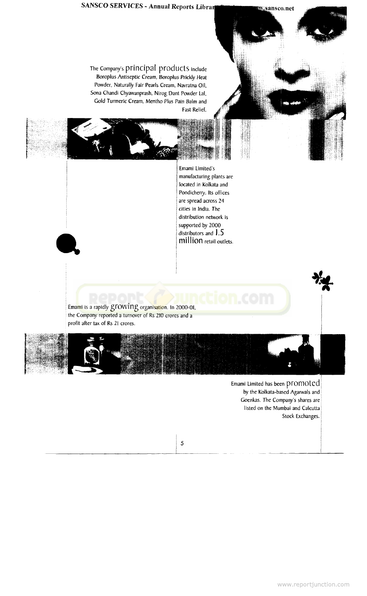## **SANSCO SERVICES - Annual Reports Librar Constitution Struggansco.net**

The Company's principal products include Boroplus Antiseptic Cream, Boroplus Prickly Heat Powder, Naturally Fair Pearls Cream, Navratna Oil, Sona Chandi Chyawanprash, Nirog Dant Powder Lai, Gold Turmeric Cream, Mentho Plus Pain Balm and Fast Relief

> Emami Limited's manufacturing plants are located in Kolkata and Pondicherry. Its offices are spread across 24 cities in India. The distribution network is supported by 2000 distributors and  $1.5$ million retail outlets.

Emami is a rapidly growing organisation. In 2000-01, the Company reported a turnover of Rs 210 crores and a profit after tax of Rs 21 crores.



Emami Limited has been promoted by the Kolkata-based Agarwals and Goenkas. The Company's shares are listed on the Mumbai and Calcutta Stock Exchanges.

5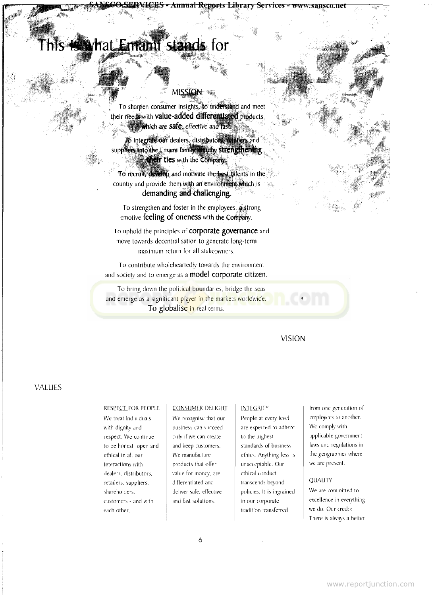## iat Emani stands for

#### **MISSION**

**Annual Rqyts Library Services - www.sausco.net**

To sharpen consumer insights, to understand and meet their needs with **value-added differentiated** products **a** which are safe, effective and fast.

To integrate our dealers, distributors, resulters and suppliers into the Emami family that eny strengthening **their ties** with the Company.

To recruit, develop and motivate the best talents in the country and provide them with an environt them which is demanding and challenging,

To strengthen and foster in the employees, a strong emotive **feeling of oneness** with the Company.

TO uphold the principles of **corporate governance** and move towards decentralisation to generate long-term maximum return for all stakeowners.

To contribute wholeheartedly towards the environment and society and to emerge as a **model corporate Citizen.**

To bring down the political boundaries, bridge the seas [and emerge as a significant player in the markets worldwide.](http://www.reportjunction.com) **To globalise** in real terms.



#### VALUES

#### RESPECT FOR PEOPLE

We treat individuals with dignity and respect. We continue to be honest, open and ethical in all our interactions with dealers, distributors, retailers, suppliers, shareholders, customers - and with each other.

#### CONSUMER DELIGHT

We recognise that our business can succeed only if we can create and keep customers. We manufacture products thai otfer value for money, are differentiated and deliver safe, effective and fast solutions.

#### INTEGRITY

People at every level are expected to adhere to the highest standards of business ethics. Anything less is unacceptable. Our ethical conduct transcends beyond policies. It is ingrained in our corporate tradition transferred

from one generation of employees to another. We comply with applicable government laws and regulations in the geographies where we are present.

#### **QUALITY**

We are committed to excellence in everything we do. Our credo: There is always a better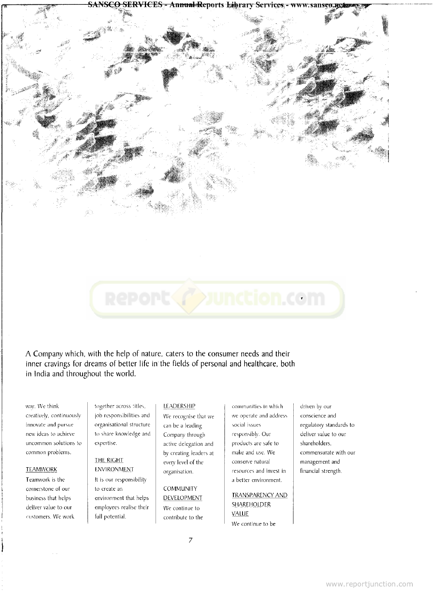**SERVICES - Annual Reports Library Services** 



# unction.com

A Company which, with the help of nature, caters to the consumer needs and their inner cravings for dreams of better life in the fields of personal and healthcare, both in India and throughout the world.

way. We think creatively, continuously innovate and pursue new ideas to achieve uncommon solutions to common problems.

#### **TEAMWORK**

Teamwork is the cornerstone of our business that helps deliver value to our customers. We work together across titles, job responsibilities and organisational structure to share knowledge and expertise.

#### THE RIGHT **ENVIRONMENT**

It is our responsibility to create an environment that helps employees realise their full potential.

#### LEADERSHIP

We recognise that we can be a leading Company through active delegation and by creating leaders at every level of the organisation.

**COMMUNITY DEVELOPMENT** We continue to contribute to the communities in which we operate and address social issues responsibly. Our products are safe to make and use. We conserve natural resources and invest in a better environment.

#### **TRANSPARENCY** AND **SHAREHOLDER VALUE** We continue to be

driven by our conscience and regulatory standards to deliver value to our shareholders, commensurate with our management and financial strength.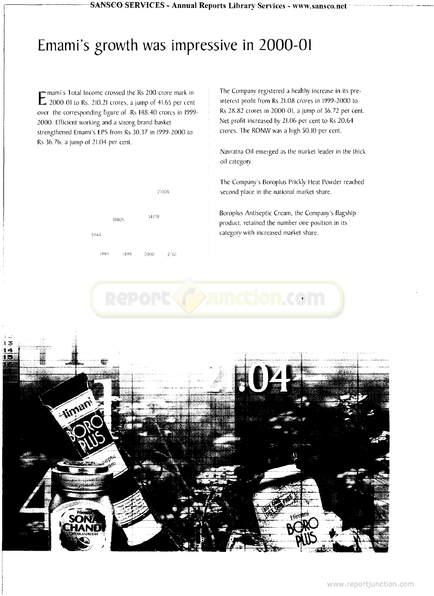## Emami's growth was impressive in 2000-01

E and S Total income crossed the KS 200 crore mark in mami's Total Income crossed the Rs 200 crore mark in over the corresponding figure of Rs 148.40 crores in 1999- 2000. Efficient working and a strong brand basket strengthened Emami's EPS from Rs 30.37 in 1999-2000 to Rs 36.76, a jump of 21.04 per cent.



The Company registered a healthy increase in its preinterest profit from Rs 21.08 crores in 1999-2000 to Rs 28.82 crores in 2000-01, a jump of 36.72 per cent. Net profit increased by 21.06 per cent to Rs 20.64 crores. The RONW was a high 50.10 per cent.

Navratna Oil emerged as the market leader in the thick oil category.

The Company's Boropius Prickly Heat Powder reached second place in the national market share.

Boropius Antiseptic Cream, the Company's flagship product, retained the number one position in its category with increased market share.